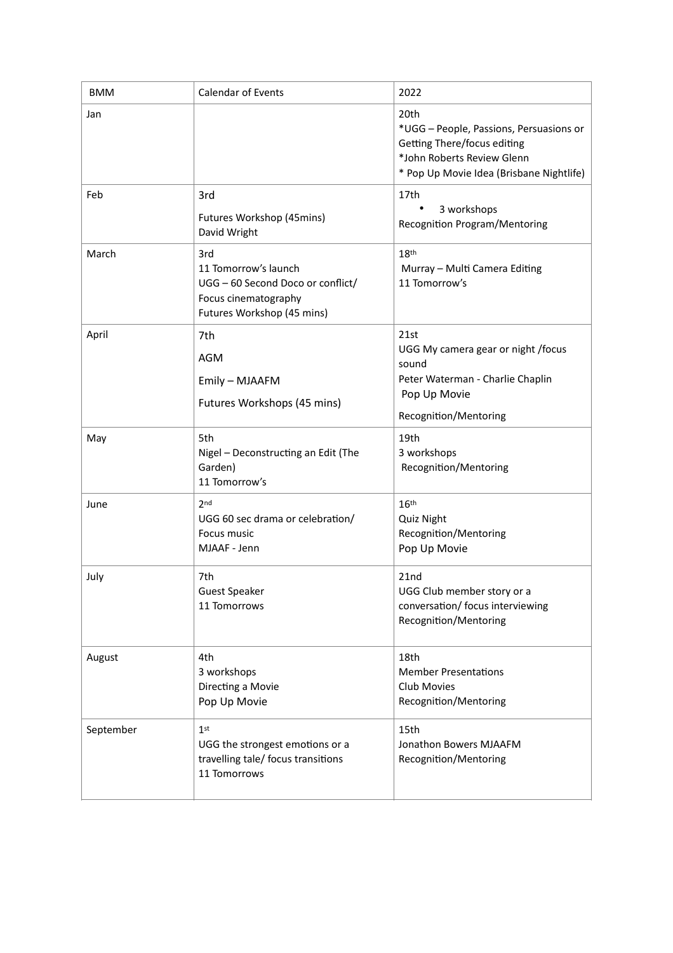| <b>BMM</b> | <b>Calendar of Events</b>                                                                                              | 2022                                                                                                                                                     |
|------------|------------------------------------------------------------------------------------------------------------------------|----------------------------------------------------------------------------------------------------------------------------------------------------------|
| Jan        |                                                                                                                        | 20th<br>*UGG - People, Passions, Persuasions or<br>Getting There/focus editing<br>*John Roberts Review Glenn<br>* Pop Up Movie Idea (Brisbane Nightlife) |
| Feb        | 3rd<br>Futures Workshop (45mins)<br>David Wright                                                                       | 17th<br>3 workshops<br><b>Recognition Program/Mentoring</b>                                                                                              |
| March      | 3rd<br>11 Tomorrow's launch<br>UGG - 60 Second Doco or conflict/<br>Focus cinematography<br>Futures Workshop (45 mins) | 18 <sup>th</sup><br>Murray - Multi Camera Editing<br>11 Tomorrow's                                                                                       |
| April      | 7th<br>AGM<br>Emily - MJAAFM<br>Futures Workshops (45 mins)                                                            | 21st<br>UGG My camera gear or night /focus<br>sound<br>Peter Waterman - Charlie Chaplin<br>Pop Up Movie<br>Recognition/Mentoring                         |
| May        | 5th<br>Nigel - Deconstructing an Edit (The<br>Garden)<br>11 Tomorrow's                                                 | 19th<br>3 workshops<br>Recognition/Mentoring                                                                                                             |
| June       | 2 <sub>nd</sub><br>UGG 60 sec drama or celebration/<br>Focus music<br>MJAAF - Jenn                                     | 16 <sup>th</sup><br>Quiz Night<br>Recognition/Mentoring<br>Pop Up Movie                                                                                  |
| July       | 7th<br><b>Guest Speaker</b><br>11 Tomorrows                                                                            | 21 <sub>nd</sub><br>UGG Club member story or a<br>conversation/ focus interviewing<br>Recognition/Mentoring                                              |
| August     | 4th<br>3 workshops<br>Directing a Movie<br>Pop Up Movie                                                                | 18th<br><b>Member Presentations</b><br><b>Club Movies</b><br>Recognition/Mentoring                                                                       |
| September  | 1 <sup>st</sup><br>UGG the strongest emotions or a<br>travelling tale/ focus transitions<br>11 Tomorrows               | 15th<br>Jonathon Bowers MJAAFM<br>Recognition/Mentoring                                                                                                  |